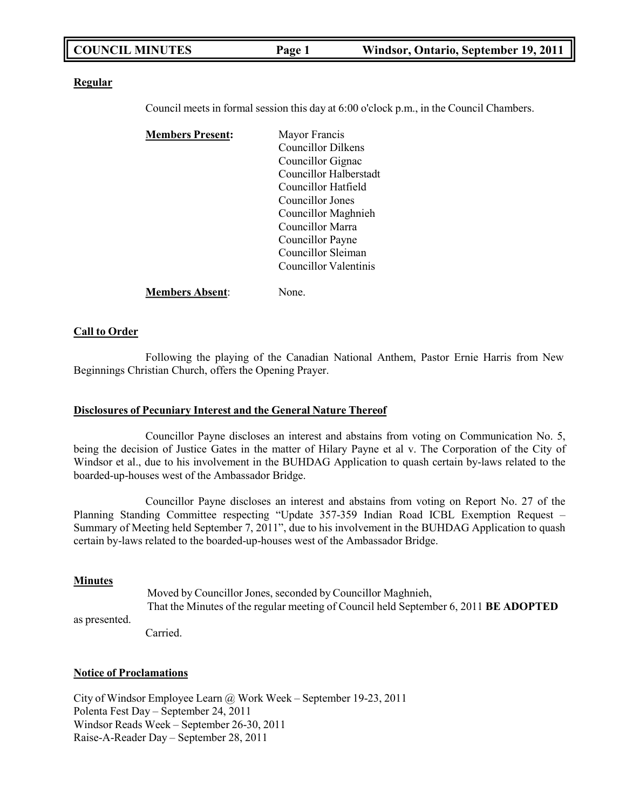|  | <b>COUNCIL MINUTES</b> | Page 1 | Windsor, Ontario, September 19, 2011 |
|--|------------------------|--------|--------------------------------------|
|--|------------------------|--------|--------------------------------------|

#### **Regular**

Council meets in formal session this day at 6:00 o'clock p.m., in the Council Chambers.

| Mayor Francis             |
|---------------------------|
| <b>Councillor Dilkens</b> |
| Councillor Gignac         |
| Councillor Halberstadt    |
| Councillor Hatfield       |
| Councillor Jones          |
| Councillor Maghnieh       |
| Councillor Marra          |
| Councillor Payne          |
| Councillor Sleiman        |
| Councillor Valentinis     |
|                           |
|                           |

**Members Absent**: None.

#### **Call to Order**

Following the playing of the Canadian National Anthem, Pastor Ernie Harris from New Beginnings Christian Church, offers the Opening Prayer.

#### **Disclosures of Pecuniary Interest and the General Nature Thereof**

Councillor Payne discloses an interest and abstains from voting on Communication No. 5, being the decision of Justice Gates in the matter of Hilary Payne et al v. The Corporation of the City of Windsor et al., due to his involvement in the BUHDAG Application to quash certain by-laws related to the boarded-up-houses west of the Ambassador Bridge.

Councillor Payne discloses an interest and abstains from voting on Report No. 27 of the Planning Standing Committee respecting "Update 357-359 Indian Road ICBL Exemption Request – Summary of Meeting held September 7, 2011", due to his involvement in the BUHDAG Application to quash certain by-laws related to the boarded-up-houses west of the Ambassador Bridge.

#### **Minutes**

as presented.

Moved by Councillor Jones, seconded by Councillor Maghnieh, That the Minutes of the regular meeting of Council held September 6, 2011 **BE ADOPTED**

Carried.

#### **Notice of Proclamations**

City of Windsor Employee Learn @ Work Week – September 19-23, 2011 Polenta Fest Day – September 24, 2011 Windsor Reads Week – September 26-30, 2011 Raise-A-Reader Day – September 28, 2011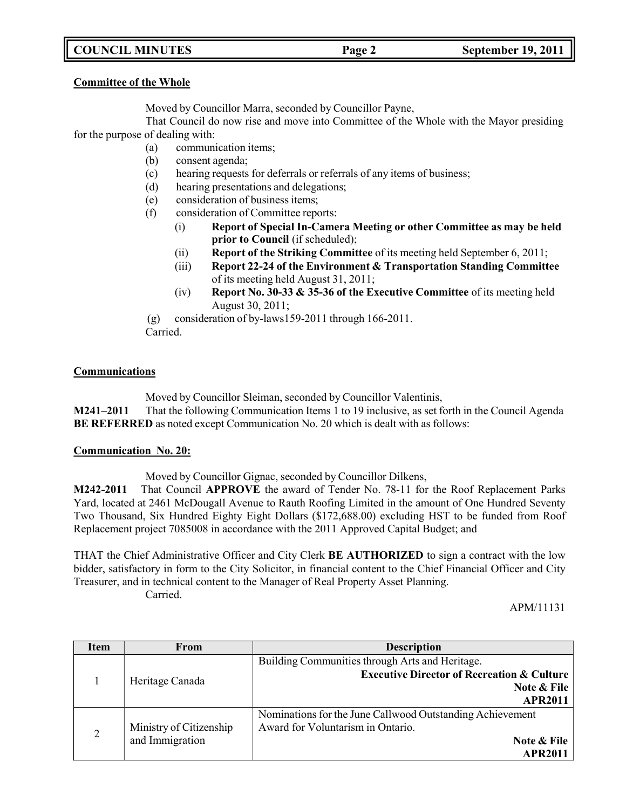## **COUNCIL MINUTES Page 2 September 19, 2011**

#### **Committee of the Whole**

Moved by Councillor Marra, seconded by Councillor Payne,

That Council do now rise and move into Committee of the Whole with the Mayor presiding for the purpose of dealing with:

- (a) communication items;
- (b) consent agenda;
- (c) hearing requests for deferrals or referrals of any items of business;
- (d) hearing presentations and delegations;
- (e) consideration of business items;
- (f) consideration of Committee reports:
	- (i) **Report of Special In-Camera Meeting or other Committee as may be held prior to Council** (if scheduled);
	- (ii) **Report of the Striking Committee** of its meeting held September 6, 2011;
	- (iii) **Report 22-24 of the Environment & Transportation Standing Committee** of its meeting held August 31, 2011;
	- (iv) **Report No. 30-33 & 35-36 of the Executive Committee** of its meeting held August 30, 2011;

(g) consideration of by-laws159-2011 through 166-2011.

Carried.

#### **Communications**

Moved by Councillor Sleiman, seconded by Councillor Valentinis,

**M241–2011** That the following Communication Items 1 to 19 inclusive, as set forth in the Council Agenda **BE REFERRED** as noted except Communication No. 20 which is dealt with as follows:

### **Communication No. 20:**

Moved by Councillor Gignac, seconded by Councillor Dilkens,

**M242-2011** That Council **APPROVE** the award of Tender No. 78-11 for the Roof Replacement Parks Yard, located at 2461 McDougall Avenue to Rauth Roofing Limited in the amount of One Hundred Seventy Two Thousand, Six Hundred Eighty Eight Dollars (\$172,688.00) excluding HST to be funded from Roof Replacement project 7085008 in accordance with the 2011 Approved Capital Budget; and

THAT the Chief Administrative Officer and City Clerk **BE AUTHORIZED** to sign a contract with the low bidder, satisfactory in form to the City Solicitor, in financial content to the Chief Financial Officer and City Treasurer, and in technical content to the Manager of Real Property Asset Planning.

Carried.

APM/11131

| <b>Item</b>    | <b>From</b>             | <b>Description</b>                                        |
|----------------|-------------------------|-----------------------------------------------------------|
|                |                         | Building Communities through Arts and Heritage.           |
|                | Heritage Canada         | <b>Executive Director of Recreation &amp; Culture</b>     |
|                |                         | Note & File                                               |
|                | <b>APR2011</b>          |                                                           |
|                |                         | Nominations for the June Callwood Outstanding Achievement |
| $\overline{2}$ | Ministry of Citizenship | Award for Voluntarism in Ontario.                         |
|                | and Immigration         | Note & File                                               |
|                |                         | <b>APR2011</b>                                            |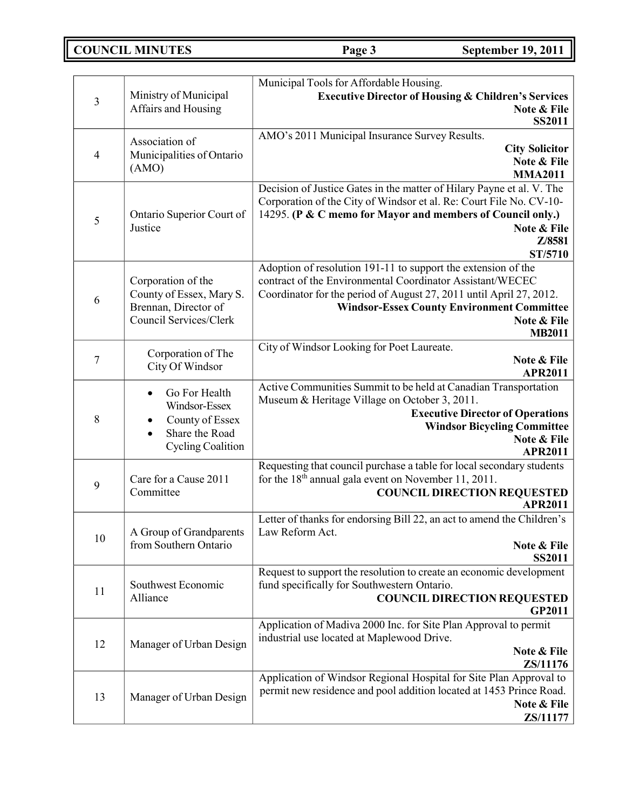**COUNCIL MINUTES Page 3 September 19, 2011**

|                           |                                                | Municipal Tools for Affordable Housing.                                                                                                      |
|---------------------------|------------------------------------------------|----------------------------------------------------------------------------------------------------------------------------------------------|
| $\mathfrak{Z}$            | Ministry of Municipal                          | <b>Executive Director of Housing &amp; Children's Services</b>                                                                               |
| Affairs and Housing       |                                                | Note & File<br><b>SS2011</b>                                                                                                                 |
|                           |                                                | AMO's 2011 Municipal Insurance Survey Results.                                                                                               |
| $\overline{4}$            | Association of<br>Municipalities of Ontario    | <b>City Solicitor</b>                                                                                                                        |
|                           | (AMO)                                          | Note & File                                                                                                                                  |
|                           |                                                | <b>MMA2011</b>                                                                                                                               |
|                           |                                                | Decision of Justice Gates in the matter of Hilary Payne et al. V. The<br>Corporation of the City of Windsor et al. Re: Court File No. CV-10- |
|                           | Ontario Superior Court of                      | 14295. (P & C memo for Mayor and members of Council only.)                                                                                   |
| 5                         | Justice                                        | Note & File                                                                                                                                  |
|                           |                                                | Z/8581                                                                                                                                       |
|                           |                                                | ST/5710                                                                                                                                      |
|                           |                                                | Adoption of resolution 191-11 to support the extension of the<br>contract of the Environmental Coordinator Assistant/WECEC                   |
|                           | Corporation of the<br>County of Essex, Mary S. | Coordinator for the period of August 27, 2011 until April 27, 2012.                                                                          |
| 6<br>Brennan, Director of |                                                | <b>Windsor-Essex County Environment Committee</b>                                                                                            |
|                           | Council Services/Clerk                         | Note & File                                                                                                                                  |
|                           |                                                | <b>MB2011</b>                                                                                                                                |
| $\boldsymbol{7}$          | Corporation of The                             | City of Windsor Looking for Poet Laureate.<br>Note & File                                                                                    |
|                           | City Of Windsor                                | <b>APR2011</b>                                                                                                                               |
|                           | Go For Health                                  | Active Communities Summit to be held at Canadian Transportation                                                                              |
|                           | Windsor-Essex                                  | Museum & Heritage Village on October 3, 2011.                                                                                                |
| 8                         | County of Essex<br>$\bullet$                   | <b>Executive Director of Operations</b>                                                                                                      |
|                           | Share the Road<br>$\bullet$                    | <b>Windsor Bicycling Committee</b><br>Note & File                                                                                            |
|                           | <b>Cycling Coalition</b>                       | <b>APR2011</b>                                                                                                                               |
|                           |                                                | Requesting that council purchase a table for local secondary students                                                                        |
| 9                         | Care for a Cause 2011                          | for the 18 <sup>th</sup> annual gala event on November 11, 2011.                                                                             |
|                           | Committee                                      | <b>COUNCIL DIRECTION REQUESTED</b><br><b>APR2011</b>                                                                                         |
|                           |                                                | Letter of thanks for endorsing Bill 22, an act to amend the Children's                                                                       |
| 10                        | A Group of Grandparents                        | Law Reform Act.                                                                                                                              |
|                           | from Southern Ontario                          | Note & File                                                                                                                                  |
|                           |                                                | <b>SS2011</b><br>Request to support the resolution to create an economic development                                                         |
|                           | Southwest Economic                             | fund specifically for Southwestern Ontario.                                                                                                  |
| 11                        | Alliance                                       | <b>COUNCIL DIRECTION REQUESTED</b>                                                                                                           |
|                           |                                                | <b>GP2011</b>                                                                                                                                |
|                           |                                                | Application of Madiva 2000 Inc. for Site Plan Approval to permit                                                                             |
| 12                        | Manager of Urban Design                        | industrial use located at Maplewood Drive.<br>Note & File                                                                                    |
|                           |                                                | ZS/11176                                                                                                                                     |
|                           |                                                | Application of Windsor Regional Hospital for Site Plan Approval to                                                                           |
| 13                        | Manager of Urban Design                        | permit new residence and pool addition located at 1453 Prince Road.                                                                          |
|                           |                                                | Note & File                                                                                                                                  |
|                           |                                                | ZS/11177                                                                                                                                     |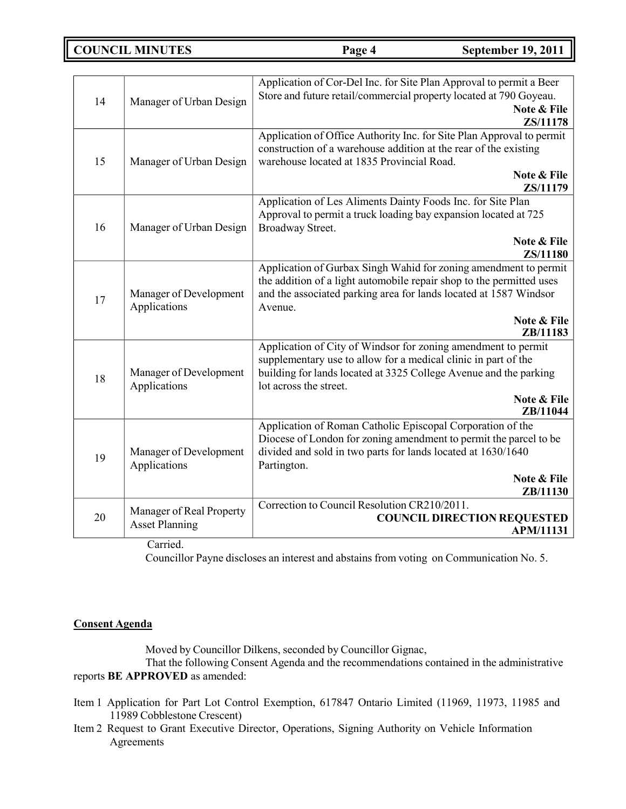**COUNCIL MINUTES Page 4 September 19, 2011**

| 14 | Manager of Urban Design                                              | Application of Cor-Del Inc. for Site Plan Approval to permit a Beer<br>Store and future retail/commercial property located at 790 Goyeau.<br>Note & File<br>ZS/11178                                                                                      |
|----|----------------------------------------------------------------------|-----------------------------------------------------------------------------------------------------------------------------------------------------------------------------------------------------------------------------------------------------------|
| 15 | Manager of Urban Design                                              | Application of Office Authority Inc. for Site Plan Approval to permit<br>construction of a warehouse addition at the rear of the existing<br>warehouse located at 1835 Provincial Road.<br>Note & File<br>ZS/11179                                        |
| 16 | Manager of Urban Design                                              | Application of Les Aliments Dainty Foods Inc. for Site Plan<br>Approval to permit a truck loading bay expansion located at 725<br>Broadway Street.<br>Note & File<br>ZS/11180                                                                             |
| 17 | Manager of Development<br>Applications                               | Application of Gurbax Singh Wahid for zoning amendment to permit<br>the addition of a light automobile repair shop to the permitted uses<br>and the associated parking area for lands located at 1587 Windsor<br>Avenue.<br>Note & File<br>ZB/11183       |
| 18 | Manager of Development<br>Applications                               | Application of City of Windsor for zoning amendment to permit<br>supplementary use to allow for a medical clinic in part of the<br>building for lands located at 3325 College Avenue and the parking<br>lot across the street.<br>Note & File<br>ZB/11044 |
| 19 | Manager of Development<br>Applications                               | Application of Roman Catholic Episcopal Corporation of the<br>Diocese of London for zoning amendment to permit the parcel to be<br>divided and sold in two parts for lands located at 1630/1640<br>Partington.<br>Note & File<br>ZB/11130                 |
| 20 | Manager of Real Property<br><b>Asset Planning</b><br>$\sim$ $\sim$ 1 | Correction to Council Resolution CR210/2011.<br><b>COUNCIL DIRECTION REQUESTED</b><br><b>APM/11131</b>                                                                                                                                                    |

Carried.

Councillor Payne discloses an interest and abstains from voting on Communication No. 5.

## **Consent Agenda**

Moved by Councillor Dilkens, seconded by Councillor Gignac,

That the following Consent Agenda and the recommendations contained in the administrative reports **BE APPROVED** as amended:

- Item 1 Application for Part Lot Control Exemption, 617847 Ontario Limited (11969, 11973, 11985 and 11989 Cobblestone Crescent)
- Item 2 Request to Grant Executive Director, Operations, Signing Authority on Vehicle Information Agreements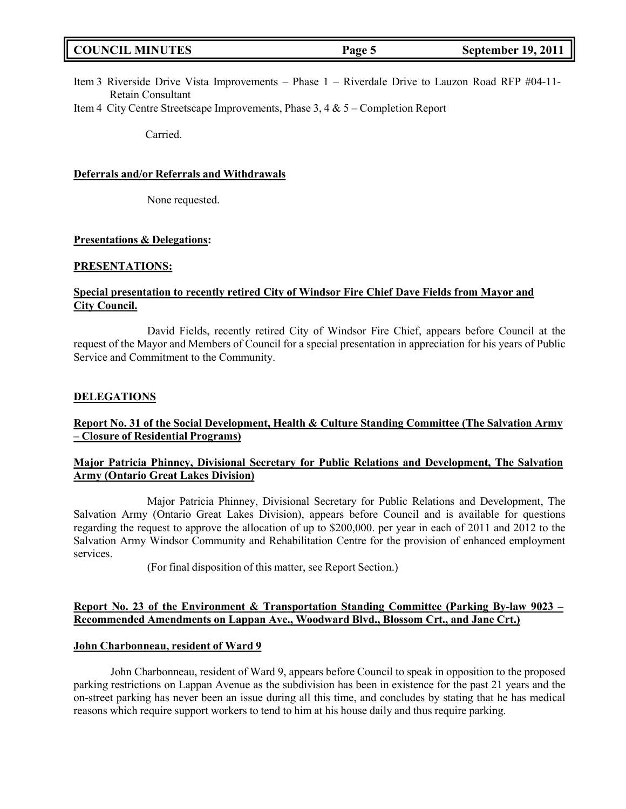| <b>COUNCIL MINUTES</b><br><b>September 19, 2011</b><br>Page 5 |  |
|---------------------------------------------------------------|--|
|---------------------------------------------------------------|--|

- Item 3 Riverside Drive Vista Improvements Phase 1 Riverdale Drive to Lauzon Road RFP #04-11- Retain Consultant
- Item 4 City Centre Streetscape Improvements, Phase 3, 4 & 5 Completion Report

Carried.

#### **Deferrals and/or Referrals and Withdrawals**

None requested.

#### **Presentations & Delegations:**

#### **PRESENTATIONS:**

## **Special presentation to recently retired City of Windsor Fire Chief Dave Fields from Mayor and City Council.**

David Fields, recently retired City of Windsor Fire Chief, appears before Council at the request of the Mayor and Members of Council for a special presentation in appreciation for his years of Public Service and Commitment to the Community.

#### **DELEGATIONS**

### **Report No. 31 of the Social Development, Health & Culture Standing Committee (The Salvation Army – Closure of Residential Programs)**

## **Major Patricia Phinney, Divisional Secretary for Public Relations and Development, The Salvation Army (Ontario Great Lakes Division)**

Major Patricia Phinney, Divisional Secretary for Public Relations and Development, The Salvation Army (Ontario Great Lakes Division), appears before Council and is available for questions regarding the request to approve the allocation of up to \$200,000. per year in each of 2011 and 2012 to the Salvation Army Windsor Community and Rehabilitation Centre for the provision of enhanced employment services.

(For final disposition of this matter, see Report Section.)

#### **Report No. 23 of the Environment & Transportation Standing Committee (Parking By-law 9023 – Recommended Amendments on Lappan Ave., Woodward Blvd., Blossom Crt., and Jane Crt.)**

#### **John Charbonneau, resident of Ward 9**

John Charbonneau, resident of Ward 9, appears before Council to speak in opposition to the proposed parking restrictions on Lappan Avenue as the subdivision has been in existence for the past 21 years and the on-street parking has never been an issue during all this time, and concludes by stating that he has medical reasons which require support workers to tend to him at his house daily and thus require parking.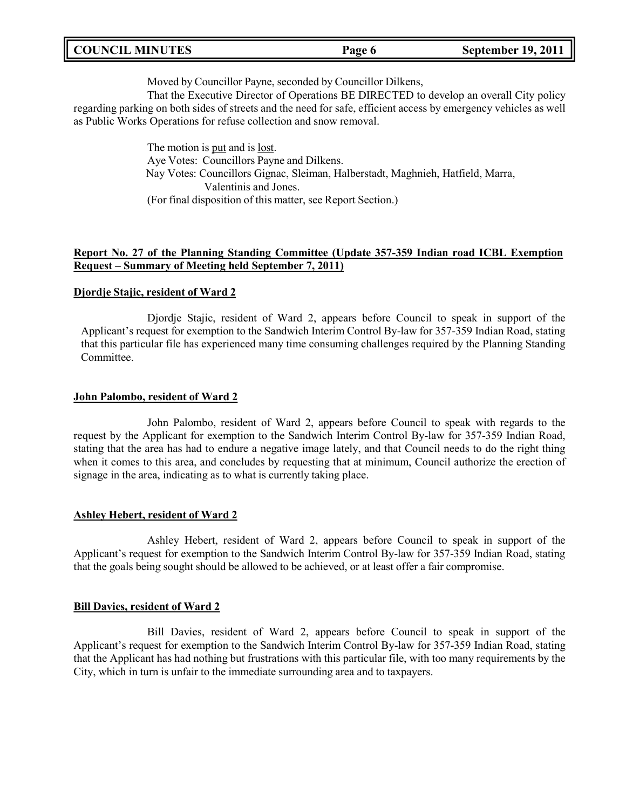|  | <b>COUNCIL MINUTES</b> | Page 6 | <b>September 19, 2011</b> |
|--|------------------------|--------|---------------------------|
|--|------------------------|--------|---------------------------|

Moved by Councillor Payne, seconded by Councillor Dilkens,

That the Executive Director of Operations BE DIRECTED to develop an overall City policy regarding parking on both sides of streets and the need for safe, efficient access by emergency vehicles as well as Public Works Operations for refuse collection and snow removal.

> The motion is put and is lost. Aye Votes: Councillors Payne and Dilkens. Nay Votes: Councillors Gignac, Sleiman, Halberstadt, Maghnieh, Hatfield, Marra, Valentinis and Jones. (For final disposition of this matter, see Report Section.)

#### **Report No. 27 of the Planning Standing Committee (Update 357-359 Indian road ICBL Exemption Request – Summary of Meeting held September 7, 2011)**

#### **Djordje Stajic, resident of Ward 2**

Djordje Stajic, resident of Ward 2, appears before Council to speak in support of the Applicant's request for exemption to the Sandwich Interim Control By-law for 357-359 Indian Road, stating that this particular file has experienced many time consuming challenges required by the Planning Standing Committee.

#### **John Palombo, resident of Ward 2**

John Palombo, resident of Ward 2, appears before Council to speak with regards to the request by the Applicant for exemption to the Sandwich Interim Control By-law for 357-359 Indian Road, stating that the area has had to endure a negative image lately, and that Council needs to do the right thing when it comes to this area, and concludes by requesting that at minimum, Council authorize the erection of signage in the area, indicating as to what is currently taking place.

#### **Ashley Hebert, resident of Ward 2**

Ashley Hebert, resident of Ward 2, appears before Council to speak in support of the Applicant's request for exemption to the Sandwich Interim Control By-law for 357-359 Indian Road, stating that the goals being sought should be allowed to be achieved, or at least offer a fair compromise.

#### **Bill Davies, resident of Ward 2**

Bill Davies, resident of Ward 2, appears before Council to speak in support of the Applicant's request for exemption to the Sandwich Interim Control By-law for 357-359 Indian Road, stating that the Applicant has had nothing but frustrations with this particular file, with too many requirements by the City, which in turn is unfair to the immediate surrounding area and to taxpayers.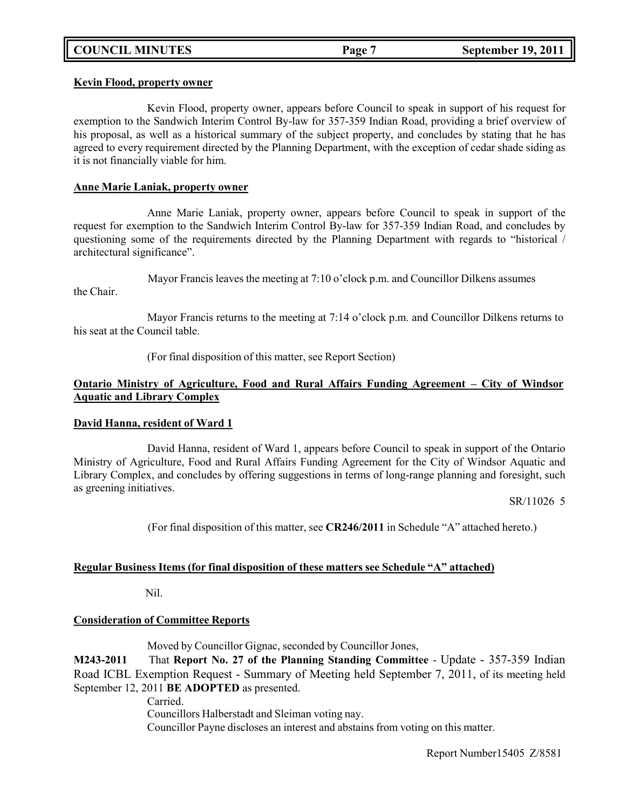### **Kevin Flood, property owner**

Kevin Flood, property owner, appears before Council to speak in support of his request for exemption to the Sandwich Interim Control By-law for 357-359 Indian Road, providing a brief overview of his proposal, as well as a historical summary of the subject property, and concludes by stating that he has agreed to every requirement directed by the Planning Department, with the exception of cedar shade siding as it is not financially viable for him.

#### **Anne Marie Laniak, property owner**

Anne Marie Laniak, property owner, appears before Council to speak in support of the request for exemption to the Sandwich Interim Control By-law for 357-359 Indian Road, and concludes by questioning some of the requirements directed by the Planning Department with regards to "historical / architectural significance".

Mayor Francis leaves the meeting at 7:10 o'clock p.m. and Councillor Dilkens assumes the Chair.

Mayor Francis returns to the meeting at 7:14 o'clock p.m. and Councillor Dilkens returns to his seat at the Council table.

(For final disposition of this matter, see Report Section)

## **Ontario Ministry of Agriculture, Food and Rural Affairs Funding Agreement – City of Windsor Aquatic and Library Complex**

### **David Hanna, resident of Ward 1**

David Hanna, resident of Ward 1, appears before Council to speak in support of the Ontario Ministry of Agriculture, Food and Rural Affairs Funding Agreement for the City of Windsor Aquatic and Library Complex, and concludes by offering suggestions in terms of long-range planning and foresight, such as greening initiatives.

SR/11026 5

(For final disposition of this matter, see **CR246/2011** in Schedule "A" attached hereto.)

### **Regular Business Items (for final disposition of these matters see Schedule "A" attached)**

Nil.

### **Consideration of Committee Reports**

Moved by Councillor Gignac, seconded by Councillor Jones,

**M243-2011** That **Report No. 27 of the Planning Standing Committee** - Update - 357-359 Indian Road ICBL Exemption Request - Summary of Meeting held September 7, 2011, of its meeting held September 12, 2011 **BE ADOPTED** as presented.

Carried.

Councillors Halberstadt and Sleiman voting nay.

Councillor Payne discloses an interest and abstains from voting on this matter.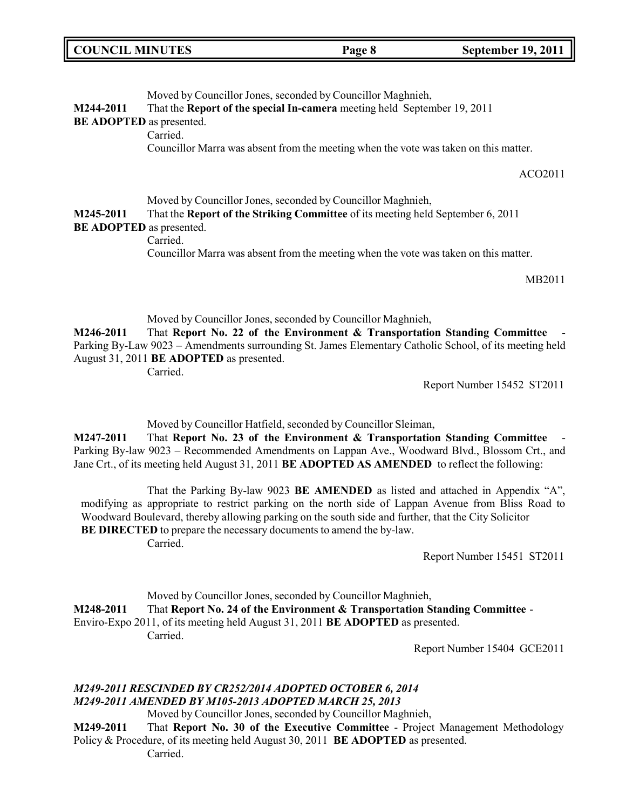| <b>COUNCIL MINUTES</b> | Page 8 | <b>September 19, 2011</b> |
|------------------------|--------|---------------------------|
|                        |        |                           |

Moved by Councillor Jones, seconded by Councillor Maghnieh, **M244-2011** That the **Report of the special In-camera** meeting held September 19, 2011 **BE ADOPTED** as presented. Carried. Councillor Marra was absent from the meeting when the vote was taken on this matter. ACO2011 Moved by Councillor Jones, seconded by Councillor Maghnieh, **M245-2011** That the **Report of the Striking Committee** of its meeting held September 6, 2011 **BE ADOPTED** as presented. Carried. Councillor Marra was absent from the meeting when the vote was taken on this matter. MB2011

Moved by Councillor Jones, seconded by Councillor Maghnieh, **M246-2011** That **Report No. 22 of the Environment & Transportation Standing Committee** - Parking By-Law 9023 – Amendments surrounding St. James Elementary Catholic School, of its meeting held August 31, 2011 **BE ADOPTED** as presented. Carried.

Report Number 15452 ST2011

Moved by Councillor Hatfield, seconded by Councillor Sleiman,

**M247-2011** That **Report No. 23 of the Environment & Transportation Standing Committee** - Parking By-law 9023 – Recommended Amendments on Lappan Ave., Woodward Blvd., Blossom Crt., and Jane Crt., of its meeting held August 31, 2011 **BE ADOPTED AS AMENDED** to reflect the following:

That the Parking By-law 9023 **BE AMENDED** as listed and attached in Appendix "A", modifying as appropriate to restrict parking on the north side of Lappan Avenue from Bliss Road to Woodward Boulevard, thereby allowing parking on the south side and further, that the City Solicitor **BE DIRECTED** to prepare the necessary documents to amend the by-law.

Carried.

Report Number 15451 ST2011

Moved by Councillor Jones, seconded by Councillor Maghnieh, **M248-2011** That **Report No. 24 of the Environment & Transportation Standing Committee** - Enviro-Expo 2011, of its meeting held August 31, 2011 **BE ADOPTED** as presented. Carried.

Report Number 15404 GCE2011

## *M249-2011 RESCINDED BY CR252/2014 ADOPTED OCTOBER 6, 2014 M249-2011 AMENDED BY M105-2013 ADOPTED MARCH 25, 2013*

Moved by Councillor Jones, seconded by Councillor Maghnieh,

**M249-2011** That **Report No. 30 of the Executive Committee** - Project Management Methodology Policy & Procedure, of its meeting held August 30, 2011 **BE ADOPTED** as presented.

Carried.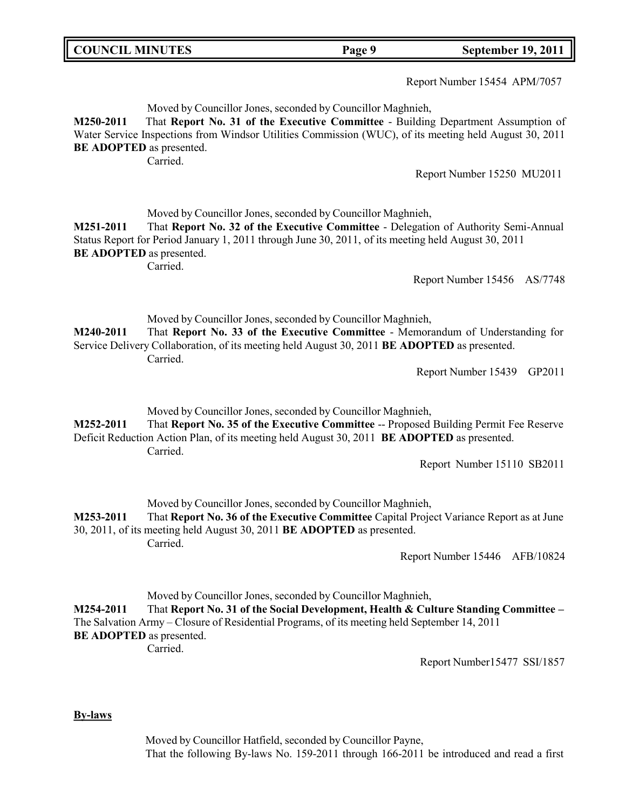| <b>COUNCIL MINUTES</b> |                                                                                                                                                                                                                                                                                                           | Page 9 | <b>September 19, 2011</b>      |
|------------------------|-----------------------------------------------------------------------------------------------------------------------------------------------------------------------------------------------------------------------------------------------------------------------------------------------------------|--------|--------------------------------|
|                        |                                                                                                                                                                                                                                                                                                           |        | Report Number 15454 APM/7057   |
| M250-2011              | Moved by Councillor Jones, seconded by Councillor Maghnieh,<br>That Report No. 31 of the Executive Committee - Building Department Assumption of<br>Water Service Inspections from Windsor Utilities Commission (WUC), of its meeting held August 30, 2011<br><b>BE ADOPTED</b> as presented.<br>Carried. |        |                                |
|                        |                                                                                                                                                                                                                                                                                                           |        | Report Number 15250 MU2011     |
| M251-2011              | Moved by Councillor Jones, seconded by Councillor Maghnieh,<br>That Report No. 32 of the Executive Committee - Delegation of Authority Semi-Annual<br>Status Report for Period January 1, 2011 through June 30, 2011, of its meeting held August 30, 2011<br><b>BE ADOPTED</b> as presented.<br>Carried.  |        |                                |
|                        |                                                                                                                                                                                                                                                                                                           |        | Report Number 15456<br>AS/7748 |
| M240-2011              | Moved by Councillor Jones, seconded by Councillor Maghnieh,<br>That Report No. 33 of the Executive Committee - Memorandum of Understanding for<br>Service Delivery Collaboration, of its meeting held August 30, 2011 BE ADOPTED as presented.<br>Carried.                                                |        |                                |
|                        |                                                                                                                                                                                                                                                                                                           |        | Report Number 15439<br>GP2011  |
| M252-2011              | Moved by Councillor Jones, seconded by Councillor Maghnieh,<br>That Report No. 35 of the Executive Committee -- Proposed Building Permit Fee Reserve<br>Deficit Reduction Action Plan, of its meeting held August 30, 2011 BE ADOPTED as presented.<br>Carried.                                           |        |                                |
|                        |                                                                                                                                                                                                                                                                                                           |        | Report Number 15110 SB2011     |
| M253-2011              | Moved by Councillor Jones, seconded by Councillor Maghnieh,<br>That Report No. 36 of the Executive Committee Capital Project Variance Report as at June<br>30, 2011, of its meeting held August 30, 2011 BE ADOPTED as presented.<br>Carried.                                                             |        |                                |
|                        |                                                                                                                                                                                                                                                                                                           |        | Report Number 15446 AFB/10824  |
| M254-2011              | Moved by Councillor Jones, seconded by Councillor Maghnieh,<br>That Report No. 31 of the Social Development, Health & Culture Standing Committee -<br>The Salvation Army - Closure of Residential Programs, of its meeting held September 14, 2011<br><b>BE ADOPTED</b> as presented.<br>Carried.         |        |                                |
|                        |                                                                                                                                                                                                                                                                                                           |        | Report Number15477 SSI/1857    |

Ш

**By-laws**

Moved by Councillor Hatfield, seconded by Councillor Payne, That the following By-laws No. 159-2011 through 166-2011 be introduced and read a first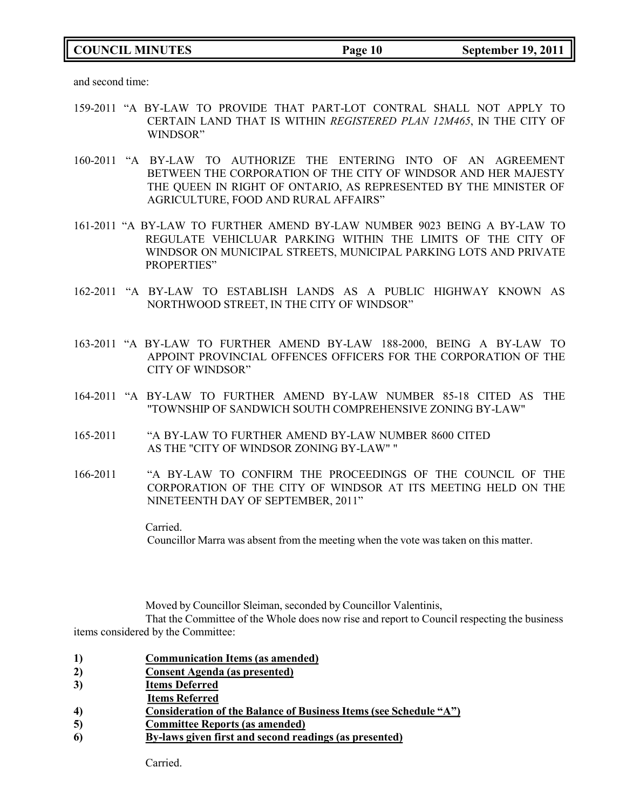## **COUNCIL MINUTES Page 10 September 19, 2011**

and second time:

- 159-2011 "A BY-LAW TO PROVIDE THAT PART-LOT CONTRAL SHALL NOT APPLY TO CERTAIN LAND THAT IS WITHIN *REGISTERED PLAN 12M465*, IN THE CITY OF WINDSOR"
- 160-2011 "A BY-LAW TO AUTHORIZE THE ENTERING INTO OF AN AGREEMENT BETWEEN THE CORPORATION OF THE CITY OF WINDSOR AND HER MAJESTY THE QUEEN IN RIGHT OF ONTARIO, AS REPRESENTED BY THE MINISTER OF AGRICULTURE, FOOD AND RURAL AFFAIRS"
- 161-2011 "A BY-LAW TO FURTHER AMEND BY-LAW NUMBER 9023 BEING A BY-LAW TO REGULATE VEHICLUAR PARKING WITHIN THE LIMITS OF THE CITY OF WINDSOR ON MUNICIPAL STREETS, MUNICIPAL PARKING LOTS AND PRIVATE PROPERTIES"
- 162-2011 "A BY-LAW TO ESTABLISH LANDS AS A PUBLIC HIGHWAY KNOWN AS NORTHWOOD STREET, IN THE CITY OF WINDSOR"
- 163-2011 "A BY-LAW TO FURTHER AMEND BY-LAW 188-2000, BEING A BY-LAW TO APPOINT PROVINCIAL OFFENCES OFFICERS FOR THE CORPORATION OF THE CITY OF WINDSOR"
- 164-2011 "A BY-LAW TO FURTHER AMEND BY-LAW NUMBER 85-18 CITED AS THE "TOWNSHIP OF SANDWICH SOUTH COMPREHENSIVE ZONING BY-LAW"
- 165-2011 "A BY-LAW TO FURTHER AMEND BY-LAW NUMBER 8600 CITED AS THE "CITY OF WINDSOR ZONING BY-LAW" "
- 166-2011 "A BY-LAW TO CONFIRM THE PROCEEDINGS OF THE COUNCIL OF THE CORPORATION OF THE CITY OF WINDSOR AT ITS MEETING HELD ON THE NINETEENTH DAY OF SEPTEMBER, 2011"

Carried. Councillor Marra was absent from the meeting when the vote was taken on this matter.

Moved by Councillor Sleiman, seconded by Councillor Valentinis,

That the Committee of the Whole does now rise and report to Council respecting the business items considered by the Committee:

- **1) Communication Items (as amended)**
- **2) Consent Agenda (as presented)**
- **3) Items Deferred**
- **Items Referred**
- **4) Consideration of the Balance of Business Items (see Schedule "A")**
- **5) Committee Reports (as amended)**
- **6) By-laws given first and second readings (as presented)**

Carried.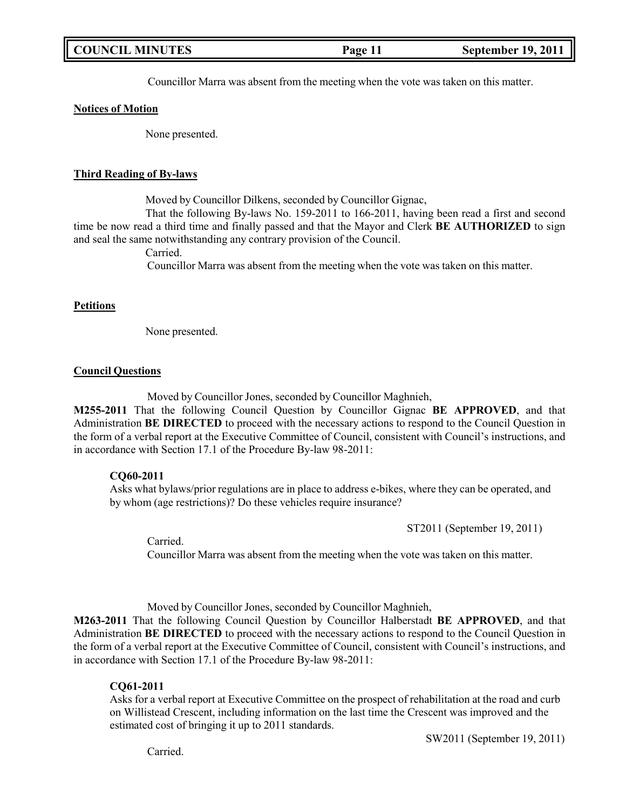| <b>COUNCIL MINUTES</b><br><b>September 19, 2011</b><br>Page 11 |  |
|----------------------------------------------------------------|--|
|----------------------------------------------------------------|--|

Councillor Marra was absent from the meeting when the vote was taken on this matter.

#### **Notices of Motion**

None presented.

#### **Third Reading of By-laws**

Moved by Councillor Dilkens, seconded by Councillor Gignac,

That the following By-laws No. 159-2011 to 166-2011, having been read a first and second time be now read a third time and finally passed and that the Mayor and Clerk **BE AUTHORIZED** to sign and seal the same notwithstanding any contrary provision of the Council.

Carried.

Councillor Marra was absent from the meeting when the vote was taken on this matter.

#### **Petitions**

None presented.

#### **Council Questions**

Moved by Councillor Jones, seconded by Councillor Maghnieh,

**M255-2011** That the following Council Question by Councillor Gignac **BE APPROVED**, and that Administration **BE DIRECTED** to proceed with the necessary actions to respond to the Council Question in the form of a verbal report at the Executive Committee of Council, consistent with Council's instructions, and in accordance with Section 17.1 of the Procedure By-law 98-2011:

#### **CQ60-2011**

Asks what bylaws/prior regulations are in place to address e-bikes, where they can be operated, and by whom (age restrictions)? Do these vehicles require insurance?

ST2011 (September 19, 2011)

Carried.

Councillor Marra was absent from the meeting when the vote was taken on this matter.

Moved by Councillor Jones, seconded by Councillor Maghnieh,

**M263-2011** That the following Council Question by Councillor Halberstadt **BE APPROVED**, and that Administration **BE DIRECTED** to proceed with the necessary actions to respond to the Council Question in the form of a verbal report at the Executive Committee of Council, consistent with Council's instructions, and in accordance with Section 17.1 of the Procedure By-law 98-2011:

#### **CQ61-2011**

Asks for a verbal report at Executive Committee on the prospect of rehabilitation at the road and curb on Willistead Crescent, including information on the last time the Crescent was improved and the estimated cost of bringing it up to 2011 standards.

SW2011 (September 19, 2011)

Carried.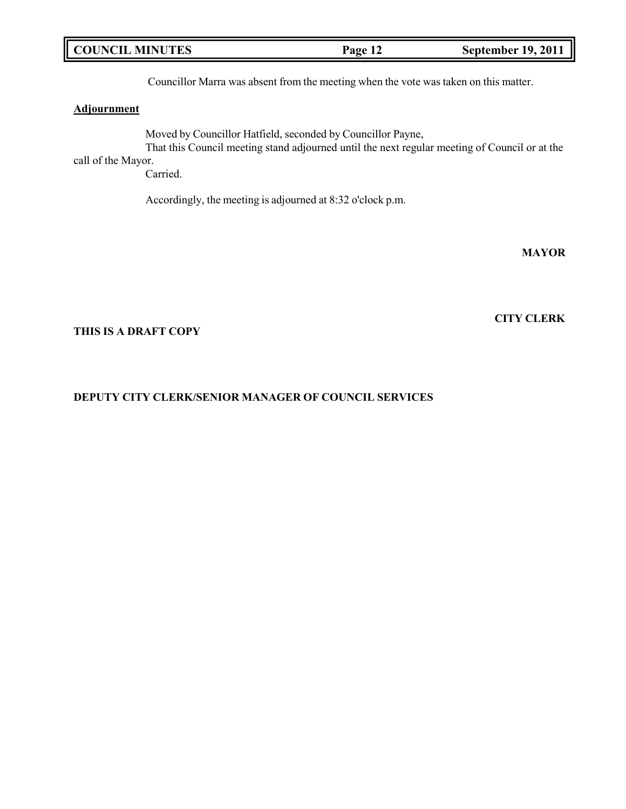| <b>COUNCIL MINUTES</b> | Page 12 | <b>September 19, 2011</b> |
|------------------------|---------|---------------------------|
|------------------------|---------|---------------------------|

Councillor Marra was absent from the meeting when the vote was taken on this matter.

### **Adjournment**

Moved by Councillor Hatfield, seconded by Councillor Payne, That this Council meeting stand adjourned until the next regular meeting of Council or at the call of the Mayor.

Carried.

Accordingly, the meeting is adjourned at 8:32 o'clock p.m.

**MAYOR**

**CITY CLERK**

### **THIS IS A DRAFT COPY**

### **DEPUTY CITY CLERK/SENIOR MANAGER OF COUNCIL SERVICES**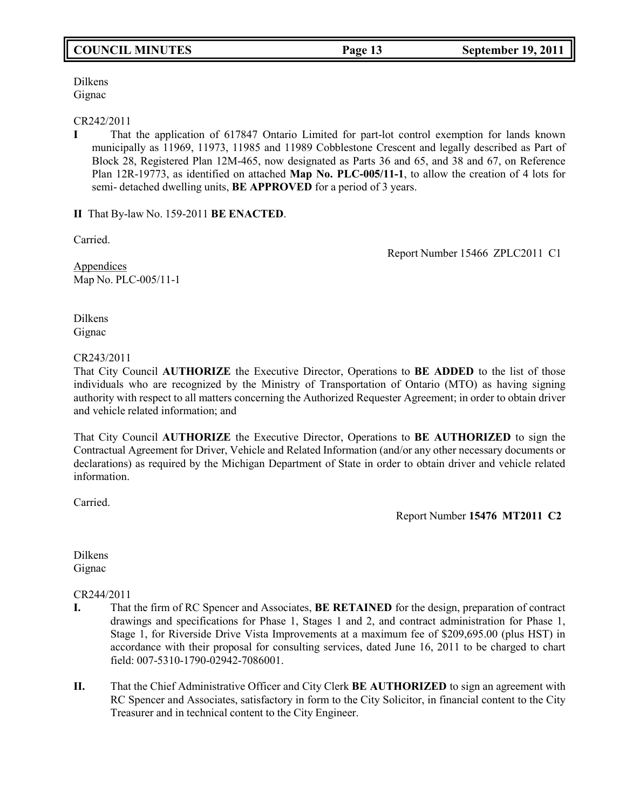# **COUNCIL MINUTES Page 13 September 19, 2011**

Dilkens Gignac

#### CR242/2011

**I** That the application of 617847 Ontario Limited for part-lot control exemption for lands known municipally as 11969, 11973, 11985 and 11989 Cobblestone Crescent and legally described as Part of Block 28, Registered Plan 12M-465, now designated as Parts 36 and 65, and 38 and 67, on Reference Plan 12R-19773, as identified on attached **Map No. PLC-005/11-1**, to allow the creation of 4 lots for semi- detached dwelling units, **BE APPROVED** for a period of 3 years.

**II** That By-law No. 159-2011 **BE ENACTED**.

Carried.

Report Number 15466 ZPLC2011 C1

Appendices Map No. PLC-005/11-1

Dilkens Gignac

### CR243/2011

That City Council **AUTHORIZE** the Executive Director, Operations to **BE ADDED** to the list of those individuals who are recognized by the Ministry of Transportation of Ontario (MTO) as having signing authority with respect to all matters concerning the Authorized Requester Agreement; in order to obtain driver and vehicle related information; and

That City Council **AUTHORIZE** the Executive Director, Operations to **BE AUTHORIZED** to sign the Contractual Agreement for Driver, Vehicle and Related Information (and/or any other necessary documents or declarations) as required by the Michigan Department of State in order to obtain driver and vehicle related information.

Carried.

Report Number **15476 MT2011 C2**

Dilkens Gignac

CR244/2011

- **I.** That the firm of RC Spencer and Associates, **BE RETAINED** for the design, preparation of contract drawings and specifications for Phase 1, Stages 1 and 2, and contract administration for Phase 1, Stage 1, for Riverside Drive Vista Improvements at a maximum fee of \$209,695.00 (plus HST) in accordance with their proposal for consulting services, dated June 16, 2011 to be charged to chart field: 007-5310-1790-02942-7086001.
- **II.** That the Chief Administrative Officer and City Clerk **BE AUTHORIZED** to sign an agreement with RC Spencer and Associates, satisfactory in form to the City Solicitor, in financial content to the City Treasurer and in technical content to the City Engineer.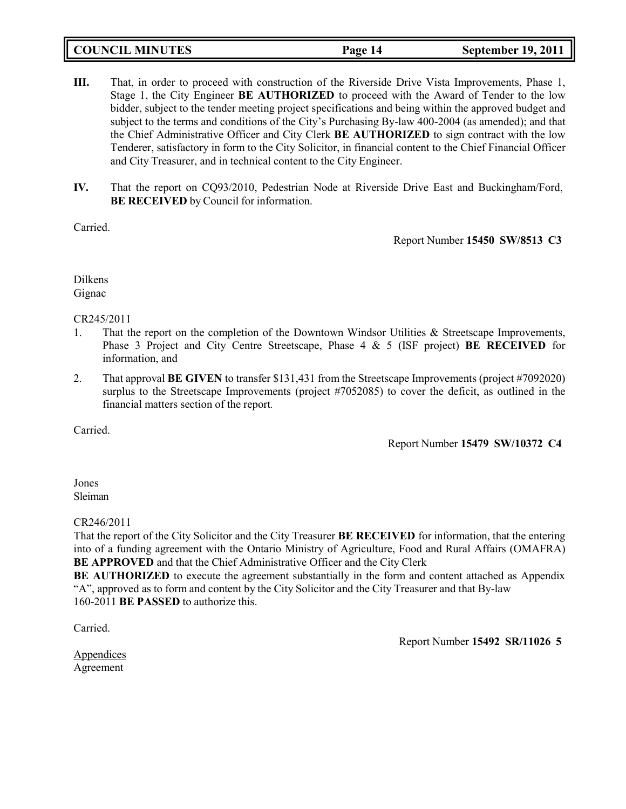| <b>COUNCIL MINUTES</b> | Page 14 | <b>September 19, 2011</b> |
|------------------------|---------|---------------------------|
|                        |         |                           |

- **III.** That, in order to proceed with construction of the Riverside Drive Vista Improvements, Phase 1, Stage 1, the City Engineer **BE AUTHORIZED** to proceed with the Award of Tender to the low bidder, subject to the tender meeting project specifications and being within the approved budget and subject to the terms and conditions of the City's Purchasing By-law 400-2004 (as amended); and that the Chief Administrative Officer and City Clerk **BE AUTHORIZED** to sign contract with the low Tenderer, satisfactory in form to the City Solicitor, in financial content to the Chief Financial Officer and City Treasurer, and in technical content to the City Engineer.
- **IV.** That the report on CQ93/2010, Pedestrian Node at Riverside Drive East and Buckingham/Ford, **BE RECEIVED** by Council for information.

Carried.

Report Number **15450 SW/8513 C3**

Dilkens Gignac

### CR245/2011

- 1. That the report on the completion of the Downtown Windsor Utilities & Streetscape Improvements, Phase 3 Project and City Centre Streetscape, Phase 4 & 5 (ISF project) **BE RECEIVED** for information, and
- 2. That approval **BE GIVEN** to transfer \$131,431 from the Streetscape Improvements (project #7092020) surplus to the Streetscape Improvements (project #7052085) to cover the deficit, as outlined in the financial matters section of the report*.*

Carried.

Report Number **15479 SW/10372 C4**

Jones Sleiman

### CR246/2011

That the report of the City Solicitor and the City Treasurer **BE RECEIVED** for information, that the entering into of a funding agreement with the Ontario Ministry of Agriculture, Food and Rural Affairs (OMAFRA) **BE APPROVED** and that the Chief Administrative Officer and the City Clerk

**BE AUTHORIZED** to execute the agreement substantially in the form and content attached as Appendix "A", approved as to form and content by the City Solicitor and the City Treasurer and that By-law 160-2011 **BE PASSED** to authorize this.

Carried.

Report Number **15492 SR/11026 5**

Appendices Agreement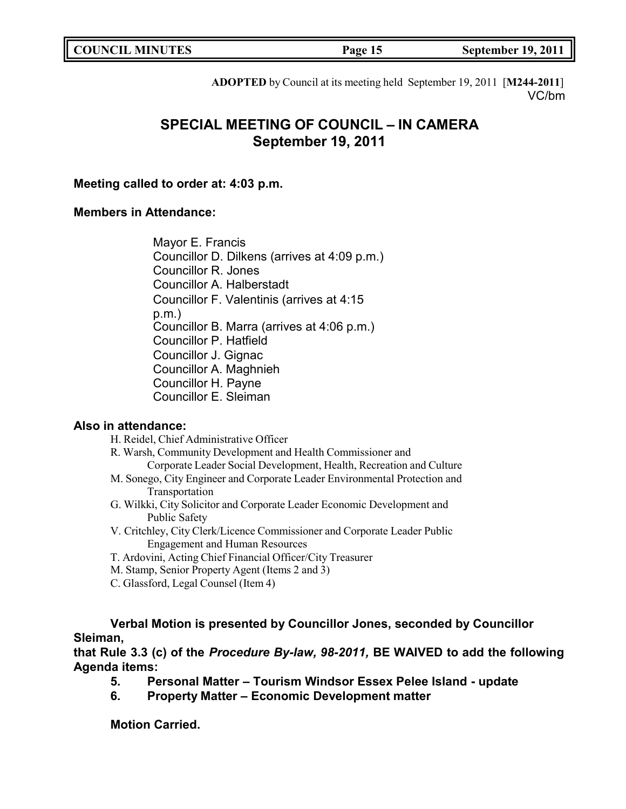| <b>COUNCIL MINUTES</b> | Page 15 | <b>September 19, 2011</b> |
|------------------------|---------|---------------------------|
|                        |         |                           |

**ADOPTED** by Council at its meeting held September 19, 2011 [**M244-2011**] VC/bm

# **SPECIAL MEETING OF COUNCIL – IN CAMERA September 19, 2011**

**Meeting called to order at: 4:03 p.m.**

# **Members in Attendance:**

Mayor E. Francis Councillor D. Dilkens (arrives at 4:09 p.m.) Councillor R. Jones Councillor A. Halberstadt Councillor F. Valentinis (arrives at 4:15 p.m.) Councillor B. Marra (arrives at 4:06 p.m.) Councillor P. Hatfield Councillor J. Gignac Councillor A. Maghnieh Councillor H. Payne Councillor E. Sleiman

# **Also in attendance:**

H. Reidel, Chief Administrative Officer

R. Warsh, Community Development and Health Commissioner and

- Corporate Leader Social Development, Health, Recreation and Culture
- M. Sonego, City Engineer and Corporate Leader Environmental Protection and Transportation
- G. Wilkki, City Solicitor and Corporate Leader Economic Development and Public Safety
- V. Critchley, City Clerk/Licence Commissioner and Corporate Leader Public Engagement and Human Resources
- T. Ardovini, Acting Chief Financial Officer/City Treasurer
- M. Stamp, Senior Property Agent (Items 2 and 3)
- C. Glassford, Legal Counsel (Item 4)

**Verbal Motion is presented by Councillor Jones, seconded by Councillor Sleiman,**

**that Rule 3.3 (c) of the** *Procedure By-law, 98-2011,* **BE WAIVED to add the following Agenda items:**

- **5. Personal Matter – Tourism Windsor Essex Pelee Island - update**
- **6. Property Matter – Economic Development matter**

**Motion Carried.**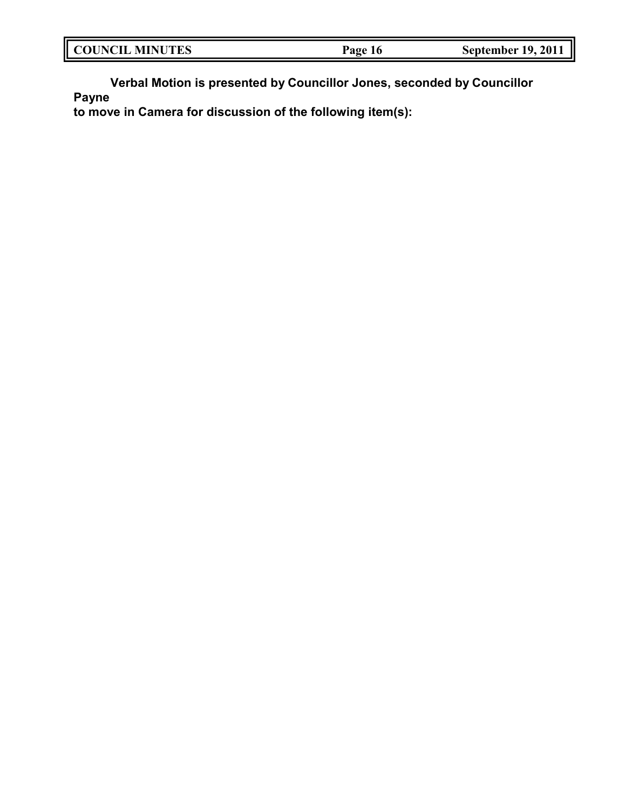| <b>COUNCIL MINUTES</b> | Page 16 | <b>September 19, 2011</b> |
|------------------------|---------|---------------------------|
|                        |         |                           |

**Verbal Motion is presented by Councillor Jones, seconded by Councillor Payne**

**to move in Camera for discussion of the following item(s):**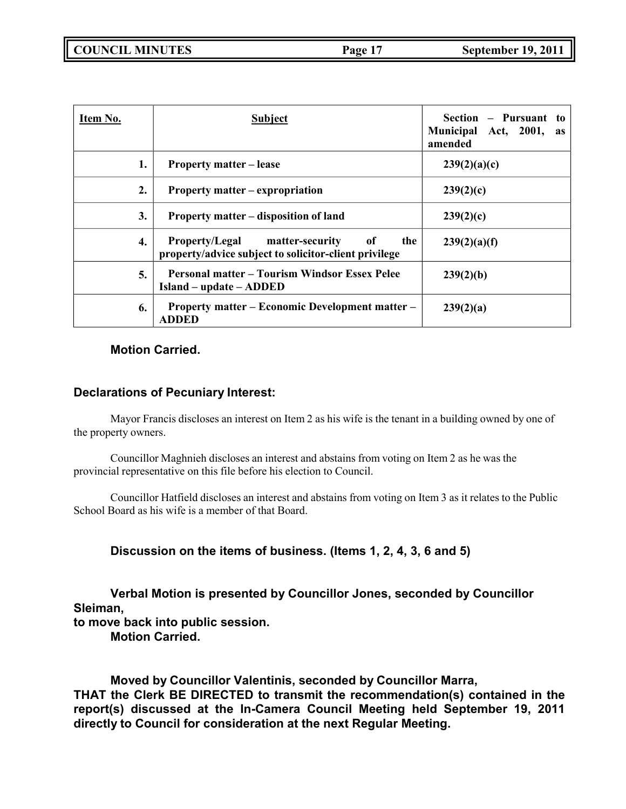**COUNCIL MINUTES Page 17 September 19, 2011**

| Item No. | <b>Subject</b>                                                                                       | Section – Pursuant to<br>Municipal Act, 2001,<br>as<br>amended |
|----------|------------------------------------------------------------------------------------------------------|----------------------------------------------------------------|
| 1.       | <b>Property matter – lease</b>                                                                       | 239(2)(a)(c)                                                   |
| 2.       | Property matter – expropriation                                                                      | 239(2)(c)                                                      |
| 3.       | Property matter – disposition of land                                                                | 239(2)(c)                                                      |
| 4.       | Property/Legal matter-security<br>0f<br>the<br>property/advice subject to solicitor-client privilege | 239(2)(a)(f)                                                   |
| 5.       | <b>Personal matter – Tourism Windsor Essex Pelee</b><br>Island – update – ADDED                      | 239(2)(b)                                                      |
| 6.       | <b>Property matter – Economic Development matter –</b><br><b>ADDED</b>                               | 239(2)(a)                                                      |

# **Motion Carried.**

# **Declarations of Pecuniary Interest:**

Mayor Francis discloses an interest on Item 2 as his wife is the tenant in a building owned by one of the property owners.

Councillor Maghnieh discloses an interest and abstains from voting on Item 2 as he was the provincial representative on this file before his election to Council.

Councillor Hatfield discloses an interest and abstains from voting on Item 3 as it relates to the Public School Board as his wife is a member of that Board.

**Discussion on the items of business. (Items 1, 2, 4, 3, 6 and 5)**

**Verbal Motion is presented by Councillor Jones, seconded by Councillor Sleiman, to move back into public session. Motion Carried.**

**Moved by Councillor Valentinis, seconded by Councillor Marra, THAT the Clerk BE DIRECTED to transmit the recommendation(s) contained in the report(s) discussed at the In-Camera Council Meeting held September 19, 2011 directly to Council for consideration at the next Regular Meeting.**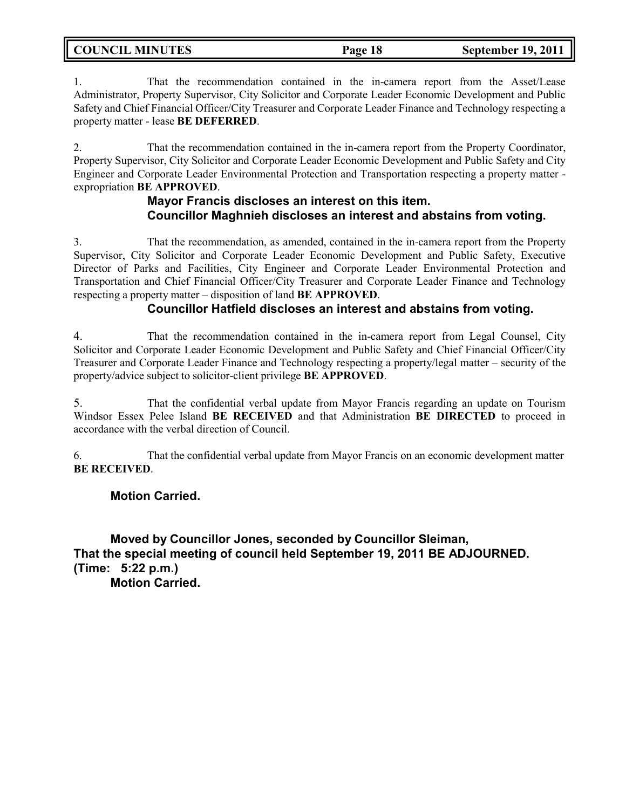| <b>COUNCIL MINUTES</b> | Page 18 | <b>September 19, 2011</b> |
|------------------------|---------|---------------------------|
|                        |         |                           |

1. That the recommendation contained in the in-camera report from the Asset/Lease Administrator, Property Supervisor, City Solicitor and Corporate Leader Economic Development and Public Safety and Chief Financial Officer/City Treasurer and Corporate Leader Finance and Technology respecting a property matter - lease **BE DEFERRED**.

2. That the recommendation contained in the in-camera report from the Property Coordinator, Property Supervisor, City Solicitor and Corporate Leader Economic Development and Public Safety and City Engineer and Corporate Leader Environmental Protection and Transportation respecting a property matter expropriation **BE APPROVED**.

# **Mayor Francis discloses an interest on this item. Councillor Maghnieh discloses an interest and abstains from voting.**

3. That the recommendation, as amended, contained in the in-camera report from the Property Supervisor, City Solicitor and Corporate Leader Economic Development and Public Safety, Executive Director of Parks and Facilities, City Engineer and Corporate Leader Environmental Protection and Transportation and Chief Financial Officer/City Treasurer and Corporate Leader Finance and Technology respecting a property matter – disposition of land **BE APPROVED**.

# **Councillor Hatfield discloses an interest and abstains from voting.**

4. That the recommendation contained in the in-camera report from Legal Counsel, City Solicitor and Corporate Leader Economic Development and Public Safety and Chief Financial Officer/City Treasurer and Corporate Leader Finance and Technology respecting a property/legal matter – security of the property/advice subject to solicitor-client privilege **BE APPROVED**.

5. That the confidential verbal update from Mayor Francis regarding an update on Tourism Windsor Essex Pelee Island **BE RECEIVED** and that Administration **BE DIRECTED** to proceed in accordance with the verbal direction of Council.

6. That the confidential verbal update from Mayor Francis on an economic development matter **BE RECEIVED**.

## **Motion Carried.**

**Moved by Councillor Jones, seconded by Councillor Sleiman, That the special meeting of council held September 19, 2011 BE ADJOURNED. (Time: 5:22 p.m.)**

**Motion Carried.**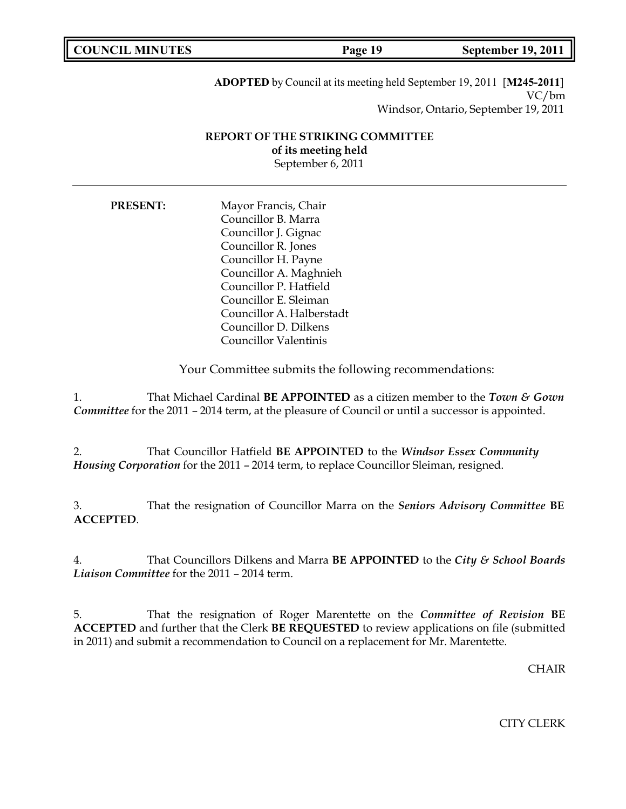| <b>COUNCIL MINUTES</b> | Page 19 | <b>September 19, 2011</b> |
|------------------------|---------|---------------------------|

**ADOPTED** by Council at its meeting held September 19, 2011 [**M245-2011**] VC/bm Windsor, Ontario, September 19, 2011

## **REPORT OF THE STRIKING COMMITTEE of its meeting held** September 6, 2011

| <b>PRESENT:</b> | Mayor Francis, Chair      |  |
|-----------------|---------------------------|--|
|                 | Councillor B. Marra       |  |
|                 | Councillor J. Gignac      |  |
|                 | Councillor R. Jones       |  |
|                 | Councillor H. Payne       |  |
|                 | Councillor A. Maghnieh    |  |
|                 | Councillor P. Hatfield    |  |
|                 | Councillor E. Sleiman     |  |
|                 | Councillor A. Halberstadt |  |
|                 | Councillor D. Dilkens     |  |
|                 | Councillor Valentinis     |  |

Your Committee submits the following recommendations:

1. That Michael Cardinal **BE APPOINTED** as a citizen member to the *Town & Gown Committee* for the 2011 – 2014 term, at the pleasure of Council or until a successor is appointed.

2. That Councillor Hatfield **BE APPOINTED** to the *Windsor Essex Community Housing Corporation* for the 2011 – 2014 term, to replace Councillor Sleiman, resigned.

3. That the resignation of Councillor Marra on the *Seniors Advisory Committee* **BE ACCEPTED**.

4. That Councillors Dilkens and Marra **BE APPOINTED** to the *City & School Boards Liaison Committee* for the 2011 – 2014 term.

5. That the resignation of Roger Marentette on the *Committee of Revision* **BE ACCEPTED** and further that the Clerk **BE REQUESTED** to review applications on file (submitted in 2011) and submit a recommendation to Council on a replacement for Mr. Marentette.

**CHAIR** 

CITY CLERK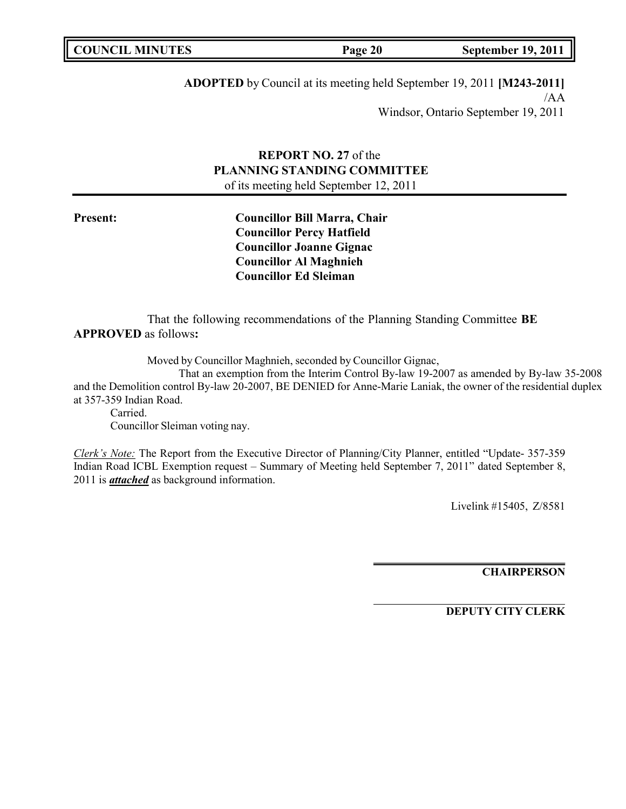| <b>COUNCIL MINUTES</b> | Page 20 | <b>September 19, 2011</b> |
|------------------------|---------|---------------------------|
|                        |         |                           |

**ADOPTED** by Council at its meeting held September 19, 2011 **[M243-2011]** /AA Windsor, Ontario September 19, 2011

## **REPORT NO. 27** of the **PLANNING STANDING COMMITTEE** of its meeting held September 12, 2011

**Present: Councillor Bill Marra, Chair Councillor Percy Hatfield Councillor Joanne Gignac Councillor Al Maghnieh Councillor Ed Sleiman**

That the following recommendations of the Planning Standing Committee **BE APPROVED** as follows**:**

Moved by Councillor Maghnieh, seconded by Councillor Gignac,

That an exemption from the Interim Control By-law 19-2007 as amended by By-law 35-2008 and the Demolition control By-law 20-2007, BE DENIED for Anne-Marie Laniak, the owner of the residential duplex at 357-359 Indian Road.

Carried. Councillor Sleiman voting nay.

*Clerk's Note:* The Report from the Executive Director of Planning/City Planner, entitled "Update- 357-359 Indian Road ICBL Exemption request – Summary of Meeting held September 7, 2011" dated September 8, 2011 is *attached* as background information.

Livelink #15405, Z/8581

**CHAIRPERSON**

**DEPUTY CITY CLERK**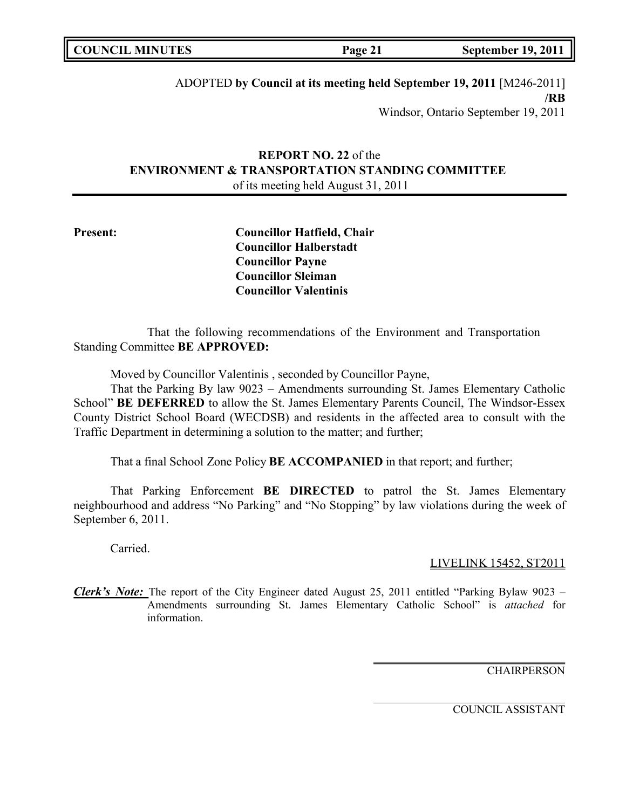| <b>COUNCIL MINUTES</b> | Page 21 | <b>September 19, 2011</b> |
|------------------------|---------|---------------------------|
|                        |         |                           |

# ADOPTED **by Council at its meeting held September 19, 2011** [M246-2011] **/RB** Windsor, Ontario September 19, 2011

# **REPORT NO. 22** of the **ENVIRONMENT & TRANSPORTATION STANDING COMMITTEE** of its meeting held August 31, 2011

**Present: Councillor Hatfield, Chair Councillor Halberstadt Councillor Payne Councillor Sleiman Councillor Valentinis**

That the following recommendations of the Environment and Transportation Standing Committee **BE APPROVED:**

Moved by Councillor Valentinis , seconded by Councillor Payne,

That the Parking By law 9023 – Amendments surrounding St. James Elementary Catholic School" **BE DEFERRED** to allow the St. James Elementary Parents Council, The Windsor-Essex County District School Board (WECDSB) and residents in the affected area to consult with the Traffic Department in determining a solution to the matter; and further;

That a final School Zone Policy **BE ACCOMPANIED** in that report; and further;

That Parking Enforcement **BE DIRECTED** to patrol the St. James Elementary neighbourhood and address "No Parking" and "No Stopping" by law violations during the week of September 6, 2011.

Carried.

LIVELINK 15452, ST2011

*Clerk's Note:* The report of the City Engineer dated August 25, 2011 entitled "Parking Bylaw 9023 – Amendments surrounding St. James Elementary Catholic School" is *attached* for information.

**CHAIRPERSON** 

COUNCIL ASSISTANT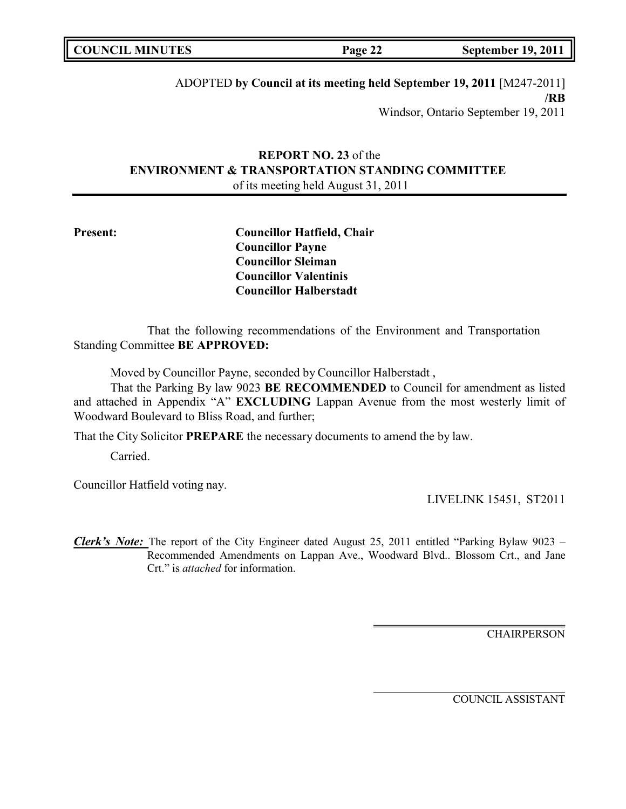| <b>COUNCIL MINUTES</b> | Page 22 | <b>September 19, 2011</b> |
|------------------------|---------|---------------------------|
|                        |         |                           |

# ADOPTED **by Council at its meeting held September 19, 2011** [M247-2011] **/RB** Windsor, Ontario September 19, 2011

# **REPORT NO. 23** of the **ENVIRONMENT & TRANSPORTATION STANDING COMMITTEE** of its meeting held August 31, 2011

**Present: Councillor Hatfield, Chair Councillor Payne Councillor Sleiman Councillor Valentinis Councillor Halberstadt**

That the following recommendations of the Environment and Transportation Standing Committee **BE APPROVED:**

Moved by Councillor Payne, seconded by Councillor Halberstadt ,

That the Parking By law 9023 **BE RECOMMENDED** to Council for amendment as listed and attached in Appendix "A" **EXCLUDING** Lappan Avenue from the most westerly limit of Woodward Boulevard to Bliss Road, and further;

That the City Solicitor **PREPARE** the necessary documents to amend the by law.

Carried.

Councillor Hatfield voting nay.

LIVELINK 15451, ST2011

*Clerk's Note:* The report of the City Engineer dated August 25, 2011 entitled "Parking Bylaw 9023 – Recommended Amendments on Lappan Ave., Woodward Blvd.. Blossom Crt., and Jane Crt." is *attached* for information.

**CHAIRPERSON** 

COUNCIL ASSISTANT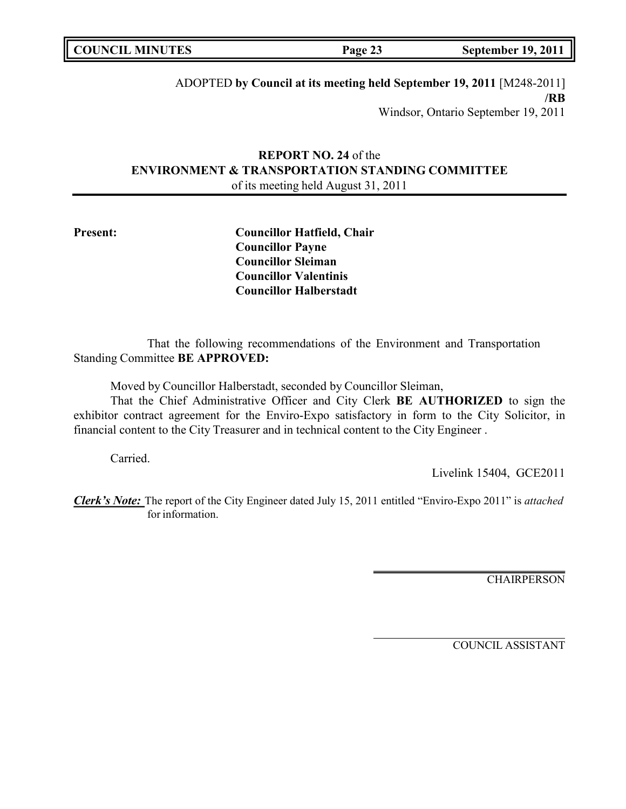ADOPTED **by Council at its meeting held September 19, 2011** [M248-2011] **/RB** Windsor, Ontario September 19, 2011

# **REPORT NO. 24** of the **ENVIRONMENT & TRANSPORTATION STANDING COMMITTEE** of its meeting held August 31, 2011

**Present: Councillor Hatfield, Chair Councillor Payne Councillor Sleiman Councillor Valentinis Councillor Halberstadt**

That the following recommendations of the Environment and Transportation Standing Committee **BE APPROVED:**

Moved by Councillor Halberstadt, seconded by Councillor Sleiman,

That the Chief Administrative Officer and City Clerk **BE AUTHORIZED** to sign the exhibitor contract agreement for the Enviro-Expo satisfactory in form to the City Solicitor, in financial content to the City Treasurer and in technical content to the City Engineer .

Carried.

Livelink 15404, GCE2011

*Clerk's Note:* The report of the City Engineer dated July 15, 2011 entitled "Enviro-Expo 2011" is *attached* for information.

**CHAIRPERSON** 

COUNCIL ASSISTANT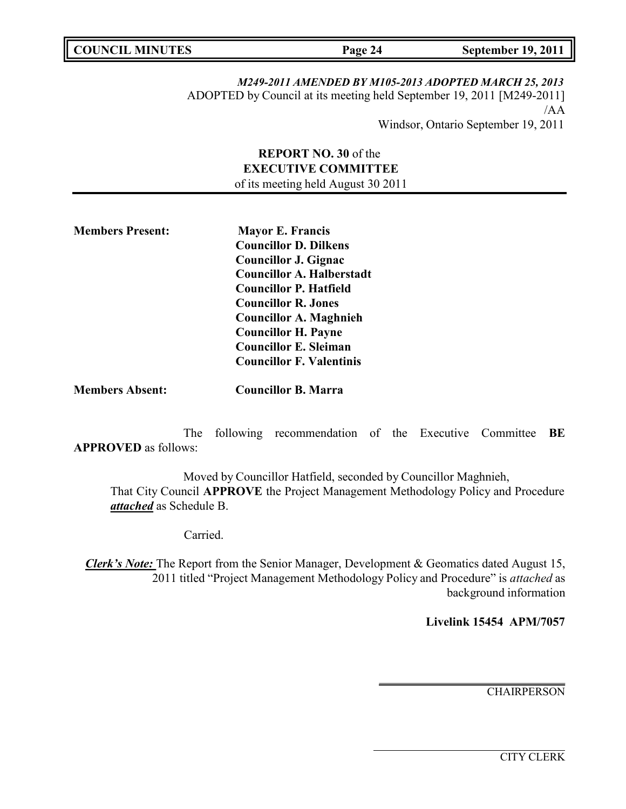*M249-2011 AMENDED BY M105-2013 ADOPTED MARCH 25, 2013*

ADOPTED by Council at its meeting held September 19, 2011 [M249-2011] /AA

Windsor, Ontario September 19, 2011

**REPORT NO. 30** of the **EXECUTIVE COMMITTEE** of its meeting held August 30 2011

**Members Present: Mayor E. Francis Councillor D. Dilkens Councillor J. Gignac Councillor A. Halberstadt Councillor P. Hatfield Councillor R. Jones Councillor A. Maghnieh Councillor H. Payne Councillor E. Sleiman Councillor F. Valentinis**

**Members Absent: Councillor B. Marra**

The following recommendation of the Executive Committee **BE APPROVED** as follows:

Moved by Councillor Hatfield, seconded by Councillor Maghnieh, That City Council **APPROVE** the Project Management Methodology Policy and Procedure *attached* as Schedule B.

Carried.

*Clerk's Note:* The Report from the Senior Manager, Development & Geomatics dated August 15, 2011 titled "Project Management Methodology Policy and Procedure" is *attached* as background information

**Livelink 15454 APM/7057**

**CHAIRPERSON** 

CITY CLERK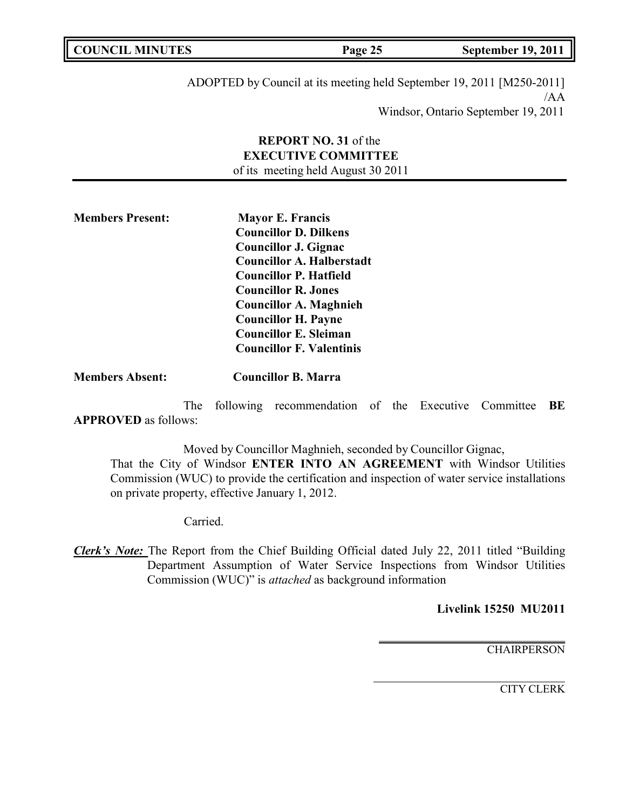| <b>COUNCIL MINUTES</b> | Page 25 | <b>September 19, 2011</b> |
|------------------------|---------|---------------------------|
|                        |         |                           |

ADOPTED by Council at its meeting held September 19, 2011 [M250-2011] /AA Windsor, Ontario September 19, 2011

# **REPORT NO. 31** of the **EXECUTIVE COMMITTEE** of its meeting held August 30 2011

**Members Present: Mayor E. Francis Councillor D. Dilkens Councillor J. Gignac Councillor A. Halberstadt Councillor P. Hatfield Councillor R. Jones Councillor A. Maghnieh Councillor H. Payne Councillor E. Sleiman Councillor F. Valentinis**

**Members Absent: Councillor B. Marra**

The following recommendation of the Executive Committee **BE APPROVED** as follows:

Moved by Councillor Maghnieh, seconded by Councillor Gignac,

That the City of Windsor **ENTER INTO AN AGREEMENT** with Windsor Utilities Commission (WUC) to provide the certification and inspection of water service installations on private property, effective January 1, 2012.

Carried.

*Clerk's Note:* The Report from the Chief Building Official dated July 22, 2011 titled "Building Department Assumption of Water Service Inspections from Windsor Utilities Commission (WUC)" is *attached* as background information

**Livelink 15250 MU2011**

**CHAIRPERSON** 

CITY CLERK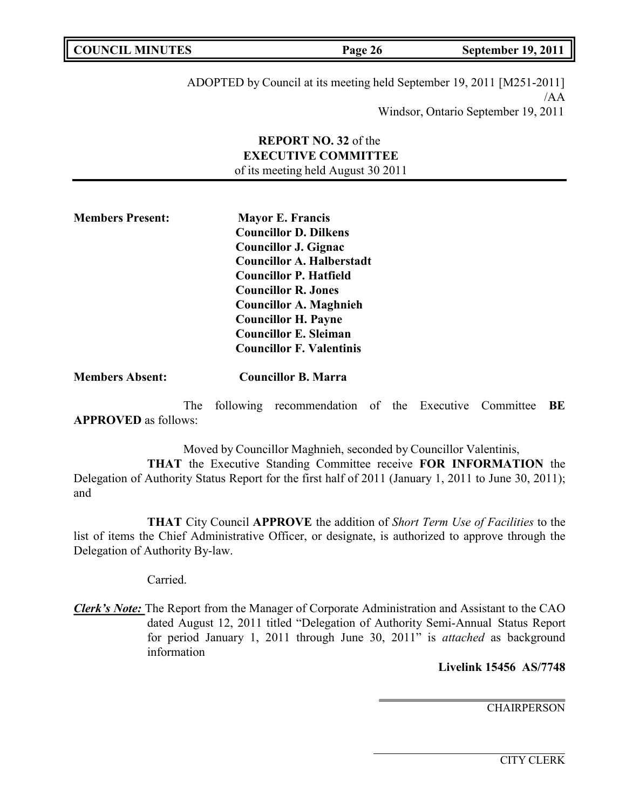| <b>COUNCIL MINUTES</b> | Page 26 | September 19, 2011 |
|------------------------|---------|--------------------|
|                        |         |                    |

ADOPTED by Council at its meeting held September 19, 2011 [M251-2011]  $/AA$ Windsor, Ontario September 19, 2011

# **REPORT NO. 32** of the **EXECUTIVE COMMITTEE** of its meeting held August 30 2011

**Members Present: Mayor E. Francis Councillor D. Dilkens Councillor J. Gignac Councillor A. Halberstadt Councillor P. Hatfield Councillor R. Jones Councillor A. Maghnieh Councillor H. Payne Councillor E. Sleiman Councillor F. Valentinis**

**Members Absent: Councillor B. Marra**

The following recommendation of the Executive Committee **BE APPROVED** as follows:

Moved by Councillor Maghnieh, seconded by Councillor Valentinis, **THAT** the Executive Standing Committee receive **FOR INFORMATION** the Delegation of Authority Status Report for the first half of 2011 (January 1, 2011 to June 30, 2011); and

**THAT** City Council **APPROVE** the addition of *Short Term Use of Facilities* to the list of items the Chief Administrative Officer, or designate, is authorized to approve through the Delegation of Authority By-law.

Carried.

*Clerk's Note:* The Report from the Manager of Corporate Administration and Assistant to the CAO dated August 12, 2011 titled "Delegation of Authority Semi-Annual Status Report for period January 1, 2011 through June 30, 2011" is *attached* as background information

**Livelink 15456 AS/7748**

**CHAIRPERSON**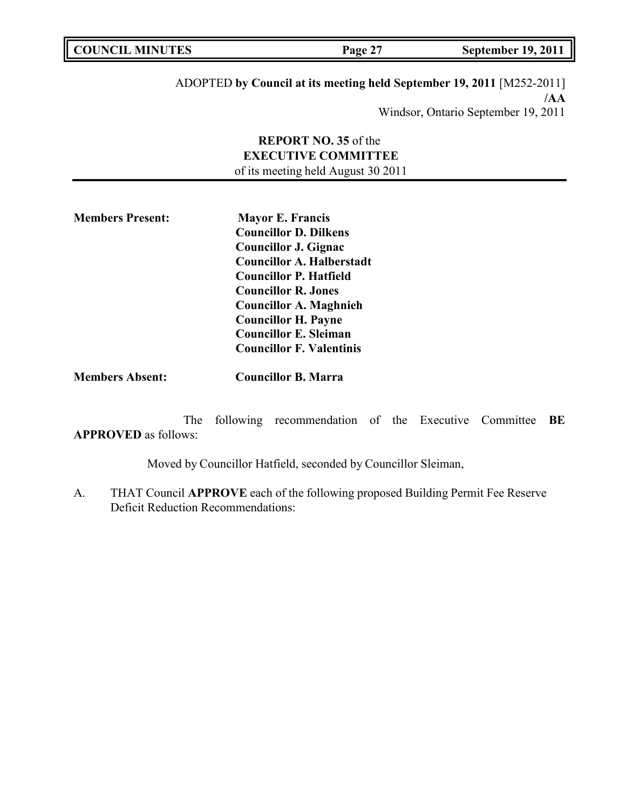| <b>COUNCIL MINUTES</b> | Page 27 | <b>September 19, 2011</b> |
|------------------------|---------|---------------------------|
|------------------------|---------|---------------------------|

# ADOPTED **by Council at its meeting held September 19, 2011** [M252-2011] **/AA** Windsor, Ontario September 19, 2011

# **REPORT NO. 35** of the **EXECUTIVE COMMITTEE** of its meeting held August 30 2011

**Members Present: Mayor E. Francis Councillor D. Dilkens Councillor J. Gignac Councillor A. Halberstadt Councillor P. Hatfield Councillor R. Jones Councillor A. Maghnieh Councillor H. Payne Councillor E. Sleiman Councillor F. Valentinis**

**Members Absent: Councillor B. Marra**

The following recommendation of the Executive Committee **BE APPROVED** as follows:

Moved by Councillor Hatfield, seconded by Councillor Sleiman,

A. THAT Council **APPROVE** each of the following proposed Building Permit Fee Reserve Deficit Reduction Recommendations: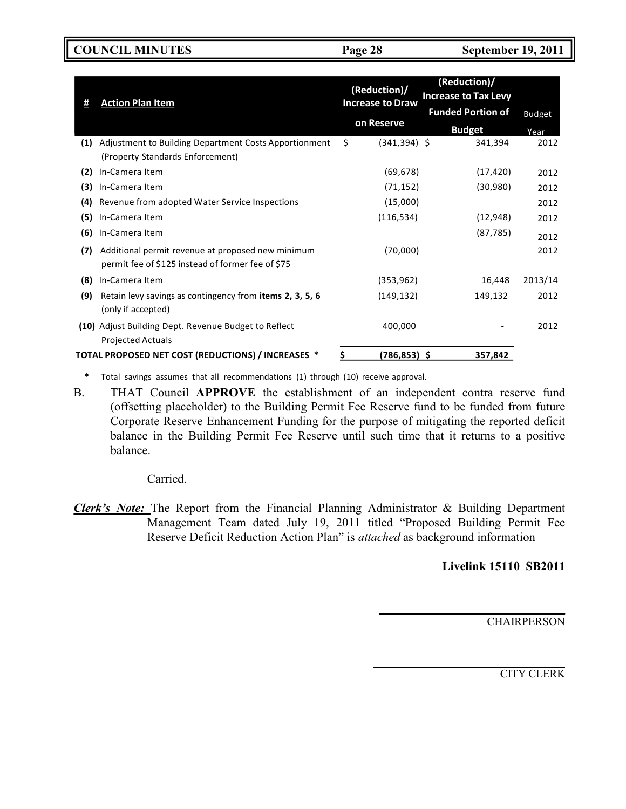**COUNCIL MINUTES Page 28 September 19, 2011**

|     |                                                                                                        | (Reduction)/            | (Reduction)/                |               |
|-----|--------------------------------------------------------------------------------------------------------|-------------------------|-----------------------------|---------------|
| Ħ   | <b>Action Plan Item</b>                                                                                | <b>Increase to Draw</b> | <b>Increase to Tax Levy</b> |               |
|     |                                                                                                        |                         | <b>Funded Portion of</b>    | <b>Budget</b> |
|     |                                                                                                        | on Reserve              | <b>Budget</b>               | Year          |
| (1) | Adjustment to Building Department Costs Apportionment                                                  | \$<br>$(341, 394)$ \$   | 341,394                     | 2012          |
|     | (Property Standards Enforcement)                                                                       |                         |                             |               |
| (2) | In-Camera Item                                                                                         | (69, 678)               | (17, 420)                   | 2012          |
| (3) | In-Camera Item                                                                                         | (71, 152)               | (30,980)                    | 2012          |
| (4) | Revenue from adopted Water Service Inspections                                                         | (15,000)                |                             | 2012          |
| (5) | In-Camera Item                                                                                         | (116, 534)              | (12, 948)                   | 2012          |
| (6) | In-Camera Item                                                                                         |                         | (87, 785)                   | 2012          |
| (7) | Additional permit revenue at proposed new minimum<br>permit fee of \$125 instead of former fee of \$75 | (70,000)                |                             | 2012          |
| (8) | In-Camera Item                                                                                         | (353, 962)              | 16,448                      | 2013/14       |
| (9) | Retain levy savings as contingency from items 2, 3, 5, 6<br>(only if accepted)                         | (149, 132)              | 149,132                     | 2012          |
|     | (10) Adjust Building Dept. Revenue Budget to Reflect<br><b>Projected Actuals</b>                       | 400,000                 |                             | 2012          |
|     | TOTAL PROPOSED NET COST (REDUCTIONS) / INCREASES *                                                     | (786,853) \$            | 357,842                     |               |

**\*** Total savings assumes that all recommendations (1) through (10) receive approval.

B. THAT Council **APPROVE** the establishment of an independent contra reserve fund (offsetting placeholder) to the Building Permit Fee Reserve fund to be funded from future Corporate Reserve Enhancement Funding for the purpose of mitigating the reported deficit balance in the Building Permit Fee Reserve until such time that it returns to a positive balance.

Carried.

*Clerk's Note:* The Report from the Financial Planning Administrator & Building Department Management Team dated July 19, 2011 titled "Proposed Building Permit Fee Reserve Deficit Reduction Action Plan" is *attached* as background information

# **Livelink 15110 SB2011**

CHAIRPERSON

CITY CLERK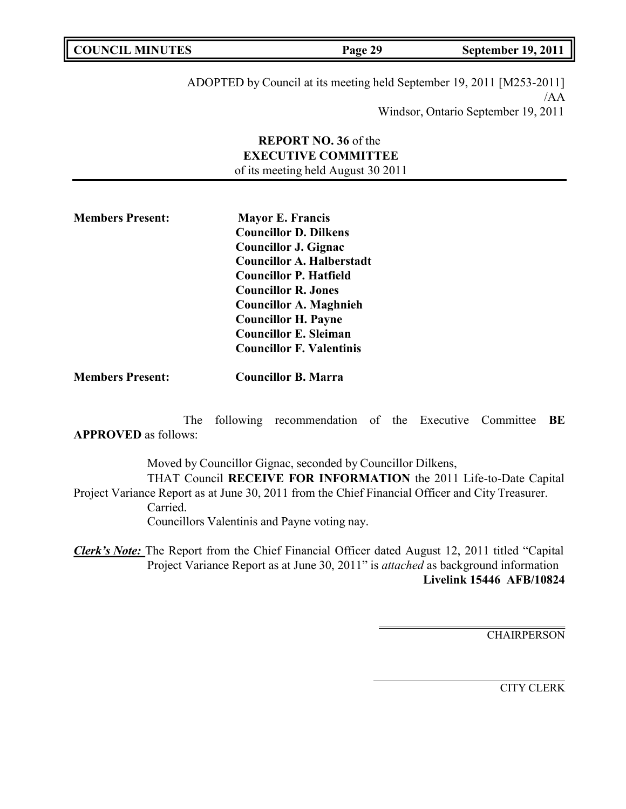| <b>COUNCIL MINUTES</b> | 20<br>$P$ age 2. | <b>September 19, 2011</b> |
|------------------------|------------------|---------------------------|
|                        |                  |                           |

ADOPTED by Council at its meeting held September 19, 2011 [M253-2011] /AA Windsor, Ontario September 19, 2011

# **REPORT NO. 36** of the **EXECUTIVE COMMITTEE** of its meeting held August 30 2011

**Members Present: Mayor E. Francis Councillor D. Dilkens Councillor J. Gignac Councillor A. Halberstadt Councillor P. Hatfield Councillor R. Jones Councillor A. Maghnieh Councillor H. Payne Councillor E. Sleiman Councillor F. Valentinis**

**Members Present: Councillor B. Marra**

The following recommendation of the Executive Committee **BE APPROVED** as follows:

Moved by Councillor Gignac, seconded by Councillor Dilkens, THAT Council **RECEIVE FOR INFORMATION** the 2011 Life-to-Date Capital Project Variance Report as at June 30, 2011 from the Chief Financial Officer and City Treasurer. Carried. Councillors Valentinis and Payne voting nay.

*Clerk's Note:* The Report from the Chief Financial Officer dated August 12, 2011 titled "Capital Project Variance Report as at June 30, 2011" is *attached* as background information **Livelink 15446 AFB/10824**

**CHAIRPERSON** 

CITY CLERK